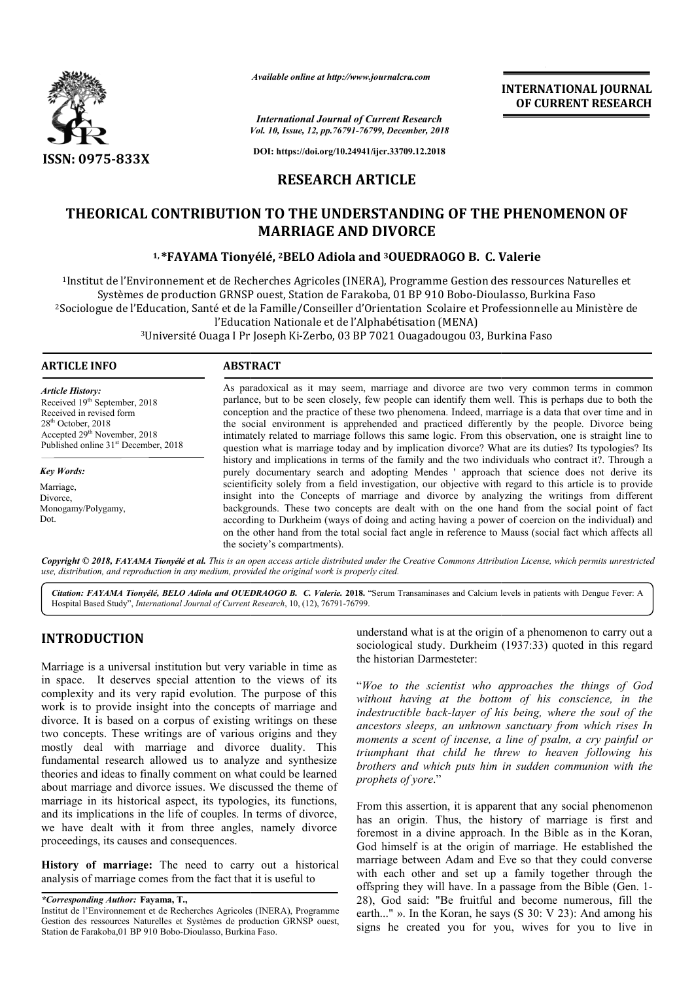

*Available online at http://www.journalcra.com*

**INTERNATIONAL JOURNAL OF CURRENT RESEARCH**

*Vol. 10, Issue, 12, pp.76791-76799, December, 2018 International Journal of Current Research*

**DOI: https://doi.org/10.24941/ijcr.33709.12.2018**

# **RESEARCH ARTICLE**

# THEORICAL CONTRIBUTION TO THE UNDERSTANDING OF THE PHENOMENON OF<br>MARRIAGE AND DIVORCE<br><sup>1, \*</sup>FAYAMA Tionyélé, <sup>2</sup>BELO Adiola and <sup>3</sup>OUEDRAOGO B. C. Valerie **MARRIAGE AND DIVORCE**

# **1, \*FAYAMA Tionyélé FAYAMA Tionyélé, 2BELO Adiola and 3OUEDRAOGO B. C. Valerie**

1Institut de l'Environnement et de Recherches Agricoles (INERA), Programme Gestion des ressources Naturelles et Institut de l'Environnement et de Recherches Agricoles (INERA), Programme Gestion des ressources Natur<br>Systèmes de production GRNSP ouest, Station de Farakoba, 01 BP 910 Bobo-Dioulasso, Burkina Faso <sup>2</sup>Sociologue de l'Education, Santé et de la Famille/Conseiller d'Orientation Scolaire et Professionnelle au Ministère de<br>l'Education Nationale et de l'Alphabétisation (MENA) l'Education Nationale et de l'Alphabétisation (MENA) nement et de Recherches Agricoles (INERA), Programme Gestion des ressources Natur<br>roduction GRNSP ouest, Station de Farakoba, 01 BP 910 Bobo-Dioulasso, Burkina Faso<br>tion, Santé et de la Famille/Conseiller d'Orientation Sco

 $3$ Université Ouaga I Pr Joseph Ki-Zerbo, 03 BP 7021 Ouagadougou 03, Burkina Faso

#### **ARTICLE INFO ABSTRACT**

*Article History:* Received 19<sup>th</sup> September, 2018 Received in revised form  $28<sup>th</sup>$  October, 2018 Accepted 29<sup>th</sup> November, 2018 Published online 31<sup>st</sup> December, 2018

*Key Words:*

Marriage, Divorce, Monogamy/Polygamy, Dot.

As paradoxical as it may seem, marriage and divorce are two very common terms in common parlance, but to be seen closely, few people can identify them well. This is perhaps due to both the conception and the practice of these two phenomena. Indeed, marriage is a data that over time and in the social environment is apprehended and practiced differently by the people. Divorce being As paradoxical as it may seem, marriage and divorce are two very common terms in common parlance, but to be seen closely, few people can identify them well. This is perhaps due to both the conception and the practice of th question what is marriage today and by implication divorce? What are its duties? Its typologies? Its history and implications in terms of the family and the two individuals who contract it?. Through a purely documentary search and adopting Mendes ' approach that science does not derive its scientificity solely from a field investigation, our objective with regard to this article is to provide insight into the Concepts of marriage and divorce by analyzing the writings from different backgrounds. These two concepts are dealt with on the one hand from the social point of fact according to Durkheim (ways of doing and acting having a power of coercion on the individual) and on the other hand from the total social fact angle in reference to Mauss (social the society's compartments). question what is marriage today and by implication divorce? What are its duties? Its typologies? Its history and implications in terms of the family and the two individuals who contract it?. Through a purely documentary se **EXERVATIONAL JOURNAL TRANSATIONAL JOURNAL FROM SET (SEE ANTIFIC AND THE SET (SEE ANTIFIC AND AND FOR THE PHENOMENON OF SET (SEE ANTIFIC AND AND FOR THE PHENOMENON OF CHERCARCH AND**  $\theta$  **and**  $\theta$  **300000-DRAOGO B. C. Valeri** 

Copyright © 2018, FAYAMA Tionyélé et al. This is an open access article distributed under the Creative Commons Attribution License, which permits unrestricted *use, distribution, and reproduction in any medium, provided the original work is properly cited.*

Citation: FAYAMA Tionyélé, BELO Adiola and OUEDRAOGO B. C. Valerie. 2018. "Serum Transaminases and Calcium levels in patients with Dengue Fever: A Hospital Based Study", *International Journal of Current Research*, 10, (12), 76791-76799.

# **INTRODUCTION**

Marriage is a universal institution but very variable in time as in space. It deserves special attention to the views of its complexity and its very rapid evolution. The purpose of this work is to provide insight into the concepts of marriage and divorce. It is based on a corpus of existing writings on these two concepts. These writings are of various origins and they mostly deal with marriage and divorce duality. This fundamental research allowed us to analyze and synthesize theories and ideas to finally comment on what could be learned about marriage and divorce issues. We discussed the theme of marriage in its historical aspect, its typologies, its functions, and its implications in the life of couples. In terms of divorce, we have dealt with it from three angles, namely divorce proceedings, its causes and consequences. rce duality. This<br>yze and synthesize<br>nat could be learned<br>cussed the theme of<br>ogies, its functions,

**History of marriage:** The need to carry out a historical analysis of marriage comes from the fact that it is useful to

*\*Corresponding Author:* **Fayama, T.,** 

understand what is at the origin of a phenomenon to carry out a understand what is at the origin of a phenomenon to carry out a sociological study. Durkheim (1937:33) quoted in this regard the historian Darmesteter:

"*Woe to the scientist who approaches the things of God without having at the bottom of his conscience, in the indestructible back-layer of his being, where the soul of the ancestors sleeps, an unknown sanctuary from which rises In moments a scent of incense, a line of psalm, a cry painful or the the scientist who approaches the things of God without having at the bottom of his conscience, in the indestructible back-layer of his being, where the soul of the ancestors sleeps, an unknown sanctuary from which ris* brothers and which puts him in sudden communion with the *prophets of yore*."

From this assertion, it is apparent that any social phenomenon has an origin. Thus, the history of marriage is first and From this assertion, it is apparent that any social phenomenon has an origin. Thus, the history of marriage is first and foremost in a divine approach. In the Bible as in the Koran, God himself is at the origin of marriage. He established the marriage between Adam and Eve so that they could converse with each other and set up a family together through the offspring they will have. In a passage from the Bible ( 28), God said: "Be fruitful and become numerous, fill the earth..." ». In the Koran, he says (S 30: V 23): And among his signs he created you for you, wives for you to live in himself is at the origin of marriage. He established the age between Adam and Eve so that they could converse each other and set up a family together through the ring they will have. In a passage from the Bible (Gen. 1-

Institut de l'Environnement et de Recherches Agricoles (INERA), Programme Gestion des ressources Naturelles et Systèmes de production GRNSP ouest, Station de Farakoba, 01 BP 910 Bobo-Dioulasso, Burkina Faso.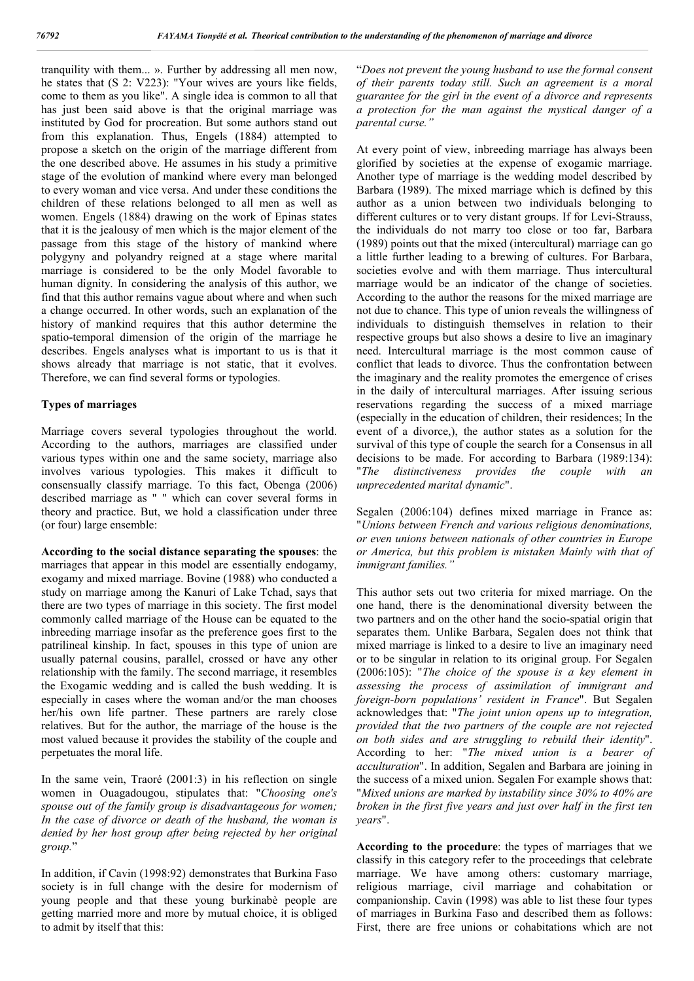tranquility with them... ». Further by addressing all men now, he states that (S 2: V223): "Your wives are yours like fields, come to them as you like". A single idea is common to all that has just been said above is that the original marriage was instituted by God for procreation. But some authors stand out from this explanation. Thus, Engels (1884) attempted to propose a sketch on the origin of the marriage different from the one described above. He assumes in his study a primitive stage of the evolution of mankind where every man belonged to every woman and vice versa. And under these conditions the children of these relations belonged to all men as well as women. Engels (1884) drawing on the work of Epinas states that it is the jealousy of men which is the major element of the passage from this stage of the history of mankind where polygyny and polyandry reigned at a stage where marital marriage is considered to be the only Model favorable to human dignity. In considering the analysis of this author, we find that this author remains vague about where and when such a change occurred. In other words, such an explanation of the history of mankind requires that this author determine the spatio-temporal dimension of the origin of the marriage he describes. Engels analyses what is important to us is that it shows already that marriage is not static, that it evolves. Therefore, we can find several forms or typologies.

### **Types of marriages**

Marriage covers several typologies throughout the world. According to the authors, marriages are classified under various types within one and the same society, marriage also involves various typologies. This makes it difficult to consensually classify marriage. To this fact, Obenga (2006) described marriage as " " which can cover several forms in theory and practice. But, we hold a classification under three (or four) large ensemble:

**According to the social distance separating the spouses**: the marriages that appear in this model are essentially endogamy, exogamy and mixed marriage. Bovine (1988) who conducted a study on marriage among the Kanuri of Lake Tchad, says that there are two types of marriage in this society. The first model commonly called marriage of the House can be equated to the inbreeding marriage insofar as the preference goes first to the patrilineal kinship. In fact, spouses in this type of union are usually paternal cousins, parallel, crossed or have any other relationship with the family. The second marriage, it resembles the Exogamic wedding and is called the bush wedding. It is especially in cases where the woman and/or the man chooses her/his own life partner. These partners are rarely close relatives. But for the author, the marriage of the house is the most valued because it provides the stability of the couple and perpetuates the moral life.

In the same vein, Traoré (2001:3) in his reflection on single women in Ouagadougou, stipulates that: "*Choosing one's spouse out of the family group is disadvantageous for women; In the case of divorce or death of the husband, the woman is denied by her host group after being rejected by her original group.*"

In addition, if Cavin (1998:92) demonstrates that Burkina Faso society is in full change with the desire for modernism of young people and that these young burkinabè people are getting married more and more by mutual choice, it is obliged to admit by itself that this:

"*Does not prevent the young husband to use the formal consent of their parents today still. Such an agreement is a moral guarantee for the girl in the event of a divorce and represents a protection for the man against the mystical danger of a parental curse."*

At every point of view, inbreeding marriage has always been glorified by societies at the expense of exogamic marriage. Another type of marriage is the wedding model described by Barbara (1989). The mixed marriage which is defined by this author as a union between two individuals belonging to different cultures or to very distant groups. If for Levi-Strauss, the individuals do not marry too close or too far, Barbara (1989) points out that the mixed (intercultural) marriage can go a little further leading to a brewing of cultures. For Barbara, societies evolve and with them marriage. Thus intercultural marriage would be an indicator of the change of societies. According to the author the reasons for the mixed marriage are not due to chance. This type of union reveals the willingness of individuals to distinguish themselves in relation to their respective groups but also shows a desire to live an imaginary need. Intercultural marriage is the most common cause of conflict that leads to divorce. Thus the confrontation between the imaginary and the reality promotes the emergence of crises in the daily of intercultural marriages. After issuing serious reservations regarding the success of a mixed marriage (especially in the education of children, their residences; In the event of a divorce,), the author states as a solution for the survival of this type of couple the search for a Consensus in all decisions to be made. For according to Barbara (1989:134): "*The distinctiveness provides the couple with an unprecedented marital dynamic*".

Segalen (2006:104) defines mixed marriage in France as: "*Unions between French and various religious denominations, or even unions between nationals of other countries in Europe or America, but this problem is mistaken Mainly with that of immigrant families."*

This author sets out two criteria for mixed marriage. On the one hand, there is the denominational diversity between the two partners and on the other hand the socio-spatial origin that separates them. Unlike Barbara, Segalen does not think that mixed marriage is linked to a desire to live an imaginary need or to be singular in relation to its original group. For Segalen (2006:105): "*The choice of the spouse is a key element in assessing the process of assimilation of immigrant and foreign-born populations' resident in France*". But Segalen acknowledges that: "*The joint union opens up to integration, provided that the two partners of the couple are not rejected on both sides and are struggling to rebuild their identity*". According to her: "*The mixed union is a bearer of acculturation*". In addition, Segalen and Barbara are joining in the success of a mixed union. Segalen For example shows that: "*Mixed unions are marked by instability since 30% to 40% are broken in the first five years and just over half in the first ten years*".

**According to the procedure**: the types of marriages that we classify in this category refer to the proceedings that celebrate marriage. We have among others: customary marriage, religious marriage, civil marriage and cohabitation or companionship. Cavin (1998) was able to list these four types of marriages in Burkina Faso and described them as follows: First, there are free unions or cohabitations which are not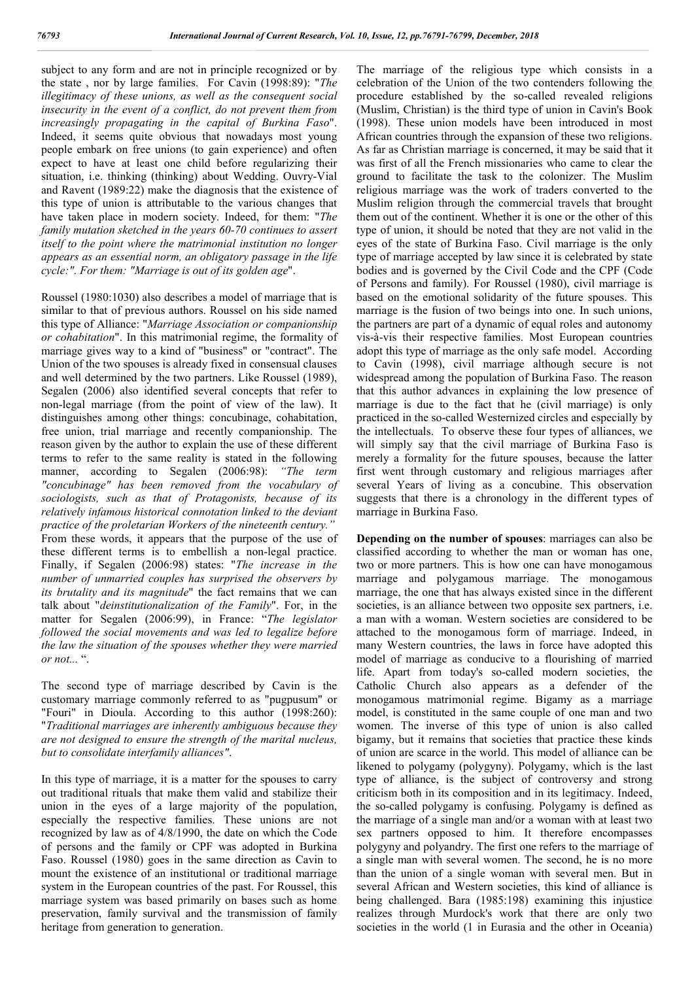subject to any form and are not in principle recognized or by the state , nor by large families. For Cavin (1998:89): "*The illegitimacy of these unions, as well as the consequent social insecurity in the event of a conflict, do not prevent them from increasingly propagating in the capital of Burkina Faso*". Indeed, it seems quite obvious that nowadays most young people embark on free unions (to gain experience) and often expect to have at least one child before regularizing their situation, i.e. thinking (thinking) about Wedding. Ouvry-Vial and Ravent (1989:22) make the diagnosis that the existence of this type of union is attributable to the various changes that have taken place in modern society. Indeed, for them: "*The family mutation sketched in the years 60-70 continues to assert itself to the point where the matrimonial institution no longer appears as an essential norm, an obligatory passage in the life cycle:". For them: "Marriage is out of its golden age*".

Roussel (1980:1030) also describes a model of marriage that is similar to that of previous authors. Roussel on his side named this type of Alliance: "*Marriage Association or companionship or cohabitation*". In this matrimonial regime, the formality of marriage gives way to a kind of "business" or "contract". The Union of the two spouses is already fixed in consensual clauses and well determined by the two partners. Like Roussel (1989), Segalen (2006) also identified several concepts that refer to non-legal marriage (from the point of view of the law). It distinguishes among other things: concubinage, cohabitation, free union, trial marriage and recently companionship. The reason given by the author to explain the use of these different terms to refer to the same reality is stated in the following manner, according to Segalen (2006:98): *"The term "concubinage" has been removed from the vocabulary of sociologists, such as that of Protagonists, because of its relatively infamous historical connotation linked to the deviant practice of the proletarian Workers of the nineteenth century."* From these words, it appears that the purpose of the use of these different terms is to embellish a non-legal practice. Finally, if Segalen (2006:98) states: "*The increase in the number of unmarried couples has surprised the observers by its brutality and its magnitude*" the fact remains that we can talk about "*deinstitutionalization of the Family*". For, in the matter for Segalen (2006:99), in France: "*The legislator followed the social movements and was led to legalize before the law the situation of the spouses whether they were married or not...* ".

The second type of marriage described by Cavin is the customary marriage commonly referred to as "pugpusum" or "Fouri" in Dioula. According to this author (1998:260): "*Traditional marriages are inherently ambiguous because they are not designed to ensure the strength of the marital nucleus, but to consolidate interfamily alliances"*.

In this type of marriage, it is a matter for the spouses to carry out traditional rituals that make them valid and stabilize their union in the eyes of a large majority of the population, especially the respective families. These unions are not recognized by law as of 4/8/1990, the date on which the Code of persons and the family or CPF was adopted in Burkina Faso. Roussel (1980) goes in the same direction as Cavin to mount the existence of an institutional or traditional marriage system in the European countries of the past. For Roussel, this marriage system was based primarily on bases such as home preservation, family survival and the transmission of family heritage from generation to generation.

The marriage of the religious type which consists in a celebration of the Union of the two contenders following the procedure established by the so-called revealed religions (Muslim, Christian) is the third type of union in Cavin's Book (1998). These union models have been introduced in most African countries through the expansion of these two religions. As far as Christian marriage is concerned, it may be said that it was first of all the French missionaries who came to clear the ground to facilitate the task to the colonizer. The Muslim religious marriage was the work of traders converted to the Muslim religion through the commercial travels that brought them out of the continent. Whether it is one or the other of this type of union, it should be noted that they are not valid in the eyes of the state of Burkina Faso. Civil marriage is the only type of marriage accepted by law since it is celebrated by state bodies and is governed by the Civil Code and the CPF (Code of Persons and family). For Roussel (1980), civil marriage is based on the emotional solidarity of the future spouses. This marriage is the fusion of two beings into one. In such unions, the partners are part of a dynamic of equal roles and autonomy vis-à-vis their respective families. Most European countries adopt this type of marriage as the only safe model. According to Cavin (1998), civil marriage although secure is not widespread among the population of Burkina Faso. The reason that this author advances in explaining the low presence of marriage is due to the fact that he (civil marriage) is only practiced in the so-called Westernized circles and especially by the intellectuals. To observe these four types of alliances, we will simply say that the civil marriage of Burkina Faso is merely a formality for the future spouses, because the latter first went through customary and religious marriages after several Years of living as a concubine. This observation suggests that there is a chronology in the different types of marriage in Burkina Faso.

**Depending on the number of spouses**: marriages can also be classified according to whether the man or woman has one, two or more partners. This is how one can have monogamous marriage and polygamous marriage. The monogamous marriage, the one that has always existed since in the different societies, is an alliance between two opposite sex partners, i.e. a man with a woman. Western societies are considered to be attached to the monogamous form of marriage. Indeed, in many Western countries, the laws in force have adopted this model of marriage as conducive to a flourishing of married life. Apart from today's so-called modern societies, the Catholic Church also appears as a defender of the monogamous matrimonial regime. Bigamy as a marriage model, is constituted in the same couple of one man and two women. The inverse of this type of union is also called bigamy, but it remains that societies that practice these kinds of union are scarce in the world. This model of alliance can be likened to polygamy (polygyny). Polygamy, which is the last type of alliance, is the subject of controversy and strong criticism both in its composition and in its legitimacy. Indeed, the so-called polygamy is confusing. Polygamy is defined as the marriage of a single man and/or a woman with at least two sex partners opposed to him. It therefore encompasses polygyny and polyandry. The first one refers to the marriage of a single man with several women. The second, he is no more than the union of a single woman with several men. But in several African and Western societies, this kind of alliance is being challenged. Bara (1985:198) examining this injustice realizes through Murdock's work that there are only two societies in the world (1 in Eurasia and the other in Oceania)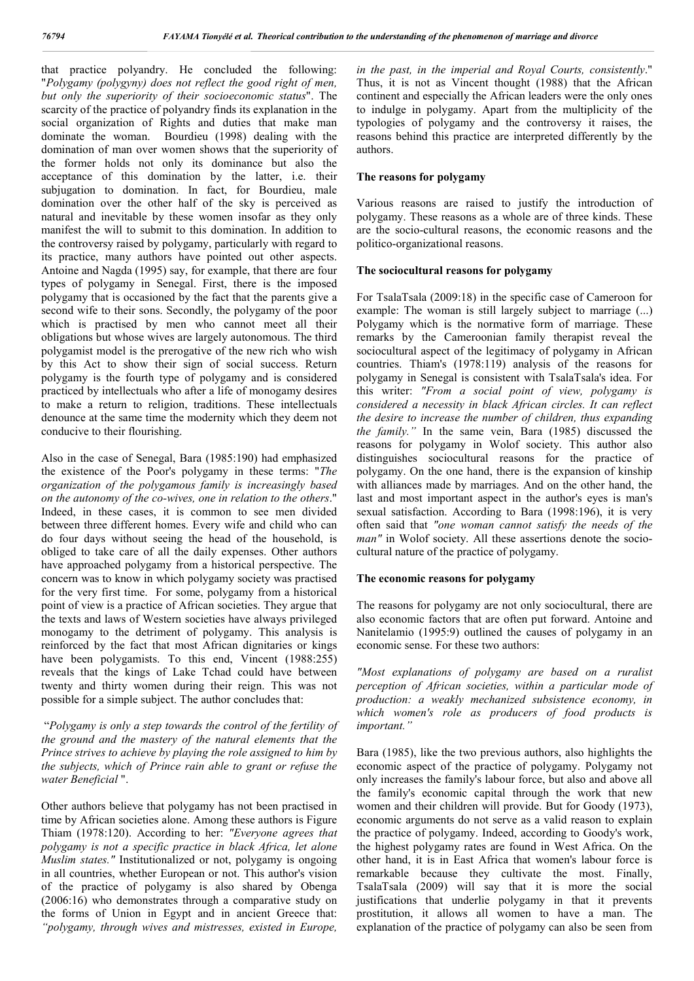that practice polyandry. He concluded the following: "*Polygamy (polygyny) does not reflect the good right of men, but only the superiority of their socioeconomic status*". The scarcity of the practice of polyandry finds its explanation in the social organization of Rights and duties that make man dominate the woman. Bourdieu (1998) dealing with the domination of man over women shows that the superiority of the former holds not only its dominance but also the acceptance of this domination by the latter, i.e. their subjugation to domination. In fact, for Bourdieu, male domination over the other half of the sky is perceived as natural and inevitable by these women insofar as they only manifest the will to submit to this domination. In addition to the controversy raised by polygamy, particularly with regard to its practice, many authors have pointed out other aspects. Antoine and Nagda (1995) say, for example, that there are four types of polygamy in Senegal. First, there is the imposed polygamy that is occasioned by the fact that the parents give a second wife to their sons. Secondly, the polygamy of the poor which is practised by men who cannot meet all their obligations but whose wives are largely autonomous. The third polygamist model is the prerogative of the new rich who wish by this Act to show their sign of social success. Return polygamy is the fourth type of polygamy and is considered practiced by intellectuals who after a life of monogamy desires to make a return to religion, traditions. These intellectuals denounce at the same time the modernity which they deem not conducive to their flourishing.

Also in the case of Senegal, Bara (1985:190) had emphasized the existence of the Poor's polygamy in these terms: "*The organization of the polygamous family is increasingly based on the autonomy of the co-wives, one in relation to the others*." Indeed, in these cases, it is common to see men divided between three different homes. Every wife and child who can do four days without seeing the head of the household, is obliged to take care of all the daily expenses. Other authors have approached polygamy from a historical perspective. The concern was to know in which polygamy society was practised for the very first time. For some, polygamy from a historical point of view is a practice of African societies. They argue that the texts and laws of Western societies have always privileged monogamy to the detriment of polygamy. This analysis is reinforced by the fact that most African dignitaries or kings have been polygamists. To this end, Vincent (1988:255) reveals that the kings of Lake Tchad could have between twenty and thirty women during their reign. This was not possible for a simple subject. The author concludes that:

"*Polygamy is only a step towards the control of the fertility of the ground and the mastery of the natural elements that the Prince strives to achieve by playing the role assigned to him by the subjects, which of Prince rain able to grant or refuse the water Beneficial* ".

Other authors believe that polygamy has not been practised in time by African societies alone. Among these authors is Figure Thiam (1978:120). According to her: *"Everyone agrees that polygamy is not a specific practice in black Africa, let alone Muslim states."* Institutionalized or not, polygamy is ongoing in all countries, whether European or not. This author's vision of the practice of polygamy is also shared by Obenga (2006:16) who demonstrates through a comparative study on the forms of Union in Egypt and in ancient Greece that: *"polygamy, through wives and mistresses, existed in Europe,* 

*in the past, in the imperial and Royal Courts, consistently*." Thus, it is not as Vincent thought (1988) that the African continent and especially the African leaders were the only ones to indulge in polygamy. Apart from the multiplicity of the typologies of polygamy and the controversy it raises, the reasons behind this practice are interpreted differently by the authors.

# **The reasons for polygamy**

Various reasons are raised to justify the introduction of polygamy. These reasons as a whole are of three kinds. These are the socio-cultural reasons, the economic reasons and the politico-organizational reasons.

# **The sociocultural reasons for polygamy**

For TsalaTsala (2009:18) in the specific case of Cameroon for example: The woman is still largely subject to marriage (...) Polygamy which is the normative form of marriage. These remarks by the Cameroonian family therapist reveal the sociocultural aspect of the legitimacy of polygamy in African countries. Thiam's (1978:119) analysis of the reasons for polygamy in Senegal is consistent with TsalaTsala's idea. For this writer: *"From a social point of view, polygamy is considered a necessity in black African circles. It can reflect the desire to increase the number of children, thus expanding the family."* In the same vein, Bara (1985) discussed the reasons for polygamy in Wolof society. This author also distinguishes sociocultural reasons for the practice of polygamy. On the one hand, there is the expansion of kinship with alliances made by marriages. And on the other hand, the last and most important aspect in the author's eyes is man's sexual satisfaction. According to Bara (1998:196), it is very often said that *"one woman cannot satisfy the needs of the man"* in Wolof society. All these assertions denote the sociocultural nature of the practice of polygamy.

# **The economic reasons for polygamy**

The reasons for polygamy are not only sociocultural, there are also economic factors that are often put forward. Antoine and Nanitelamio (1995:9) outlined the causes of polygamy in an economic sense. For these two authors:

*"Most explanations of polygamy are based on a ruralist perception of African societies, within a particular mode of production: a weakly mechanized subsistence economy, in which women's role as producers of food products is important."*

Bara (1985), like the two previous authors, also highlights the economic aspect of the practice of polygamy. Polygamy not only increases the family's labour force, but also and above all the family's economic capital through the work that new women and their children will provide. But for Goody (1973), economic arguments do not serve as a valid reason to explain the practice of polygamy. Indeed, according to Goody's work, the highest polygamy rates are found in West Africa. On the other hand, it is in East Africa that women's labour force is remarkable because they cultivate the most. Finally, TsalaTsala (2009) will say that it is more the social justifications that underlie polygamy in that it prevents prostitution, it allows all women to have a man. The explanation of the practice of polygamy can also be seen from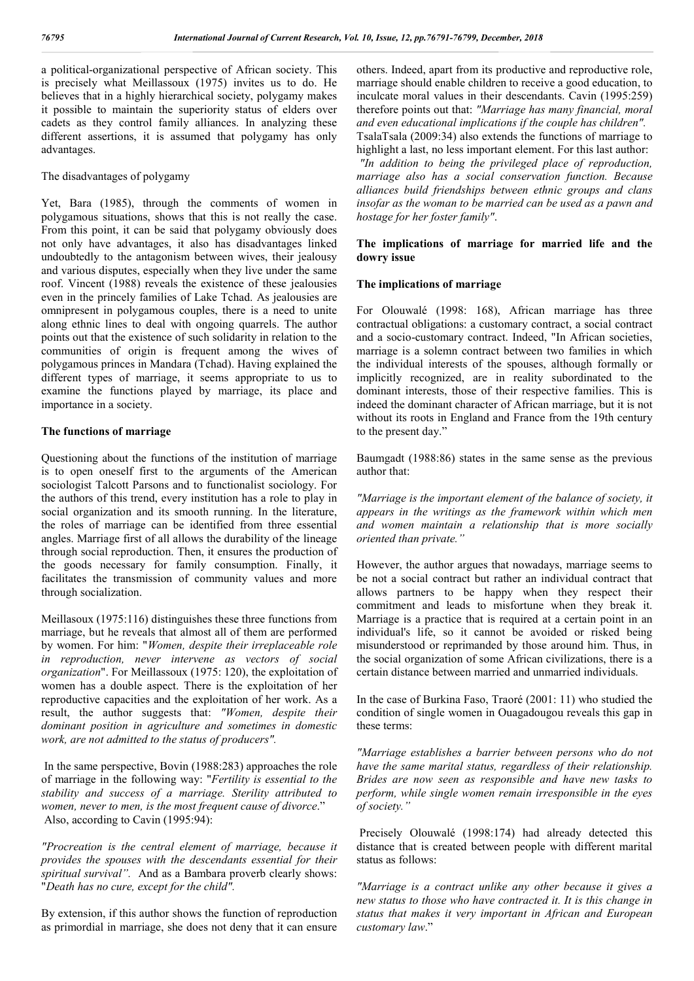a political-organizational perspective of African society. This is precisely what Meillassoux (1975) invites us to do. He believes that in a highly hierarchical society, polygamy makes it possible to maintain the superiority status of elders over cadets as they control family alliances. In analyzing these different assertions, it is assumed that polygamy has only advantages.

The disadvantages of polygamy

Yet, Bara (1985), through the comments of women in polygamous situations, shows that this is not really the case. From this point, it can be said that polygamy obviously does not only have advantages, it also has disadvantages linked undoubtedly to the antagonism between wives, their jealousy and various disputes, especially when they live under the same roof. Vincent (1988) reveals the existence of these jealousies even in the princely families of Lake Tchad. As jealousies are omnipresent in polygamous couples, there is a need to unite along ethnic lines to deal with ongoing quarrels. The author points out that the existence of such solidarity in relation to the communities of origin is frequent among the wives of polygamous princes in Mandara (Tchad). Having explained the different types of marriage, it seems appropriate to us to examine the functions played by marriage, its place and importance in a society.

# **The functions of marriage**

Questioning about the functions of the institution of marriage is to open oneself first to the arguments of the American sociologist Talcott Parsons and to functionalist sociology. For the authors of this trend, every institution has a role to play in social organization and its smooth running. In the literature, the roles of marriage can be identified from three essential angles. Marriage first of all allows the durability of the lineage through social reproduction. Then, it ensures the production of the goods necessary for family consumption. Finally, it facilitates the transmission of community values and more through socialization.

Meillasoux (1975:116) distinguishes these three functions from marriage, but he reveals that almost all of them are performed by women. For him: "*Women, despite their irreplaceable role in reproduction, never intervene as vectors of social organization*". For Meillassoux (1975: 120), the exploitation of women has a double aspect. There is the exploitation of her reproductive capacities and the exploitation of her work. As a result, the author suggests that: *"Women, despite their dominant position in agriculture and sometimes in domestic work, are not admitted to the status of producers".*

In the same perspective, Bovin (1988:283) approaches the role of marriage in the following way: "*Fertility is essential to the stability and success of a marriage. Sterility attributed to women, never to men, is the most frequent cause of divorce*." Also, according to Cavin (1995:94):

*"Procreation is the central element of marriage, because it provides the spouses with the descendants essential for their spiritual survival".* And as a Bambara proverb clearly shows: "*Death has no cure, except for the child".* 

By extension, if this author shows the function of reproduction as primordial in marriage, she does not deny that it can ensure

others. Indeed, apart from its productive and reproductive role, marriage should enable children to receive a good education, to inculcate moral values in their descendants. Cavin (1995:259) therefore points out that: *"Marriage has many financial, moral and even educational implications if the couple has children".* TsalaTsala (2009:34) also extends the functions of marriage to highlight a last, no less important element. For this last author: *"In addition to being the privileged place of reproduction, marriage also has a social conservation function. Because alliances build friendships between ethnic groups and clans insofar as the woman to be married can be used as a pawn and hostage for her foster family"*.

# **The implications of marriage for married life and the dowry issue**

# **The implications of marriage**

For Olouwalé (1998: 168), African marriage has three contractual obligations: a customary contract, a social contract and a socio-customary contract. Indeed, "In African societies, marriage is a solemn contract between two families in which the individual interests of the spouses, although formally or implicitly recognized, are in reality subordinated to the dominant interests, those of their respective families. This is indeed the dominant character of African marriage, but it is not without its roots in England and France from the 19th century to the present day."

Baumgadt (1988:86) states in the same sense as the previous author that:

*"Marriage is the important element of the balance of society, it appears in the writings as the framework within which men and women maintain a relationship that is more socially oriented than private."*

However, the author argues that nowadays, marriage seems to be not a social contract but rather an individual contract that allows partners to be happy when they respect their commitment and leads to misfortune when they break it. Marriage is a practice that is required at a certain point in an individual's life, so it cannot be avoided or risked being misunderstood or reprimanded by those around him. Thus, in the social organization of some African civilizations, there is a certain distance between married and unmarried individuals.

In the case of Burkina Faso, Traoré (2001: 11) who studied the condition of single women in Ouagadougou reveals this gap in these terms:

*"Marriage establishes a barrier between persons who do not have the same marital status, regardless of their relationship. Brides are now seen as responsible and have new tasks to perform, while single women remain irresponsible in the eyes of society."*

Precisely Olouwalé (1998:174) had already detected this distance that is created between people with different marital status as follows:

*"Marriage is a contract unlike any other because it gives a new status to those who have contracted it. It is this change in status that makes it very important in African and European customary law*."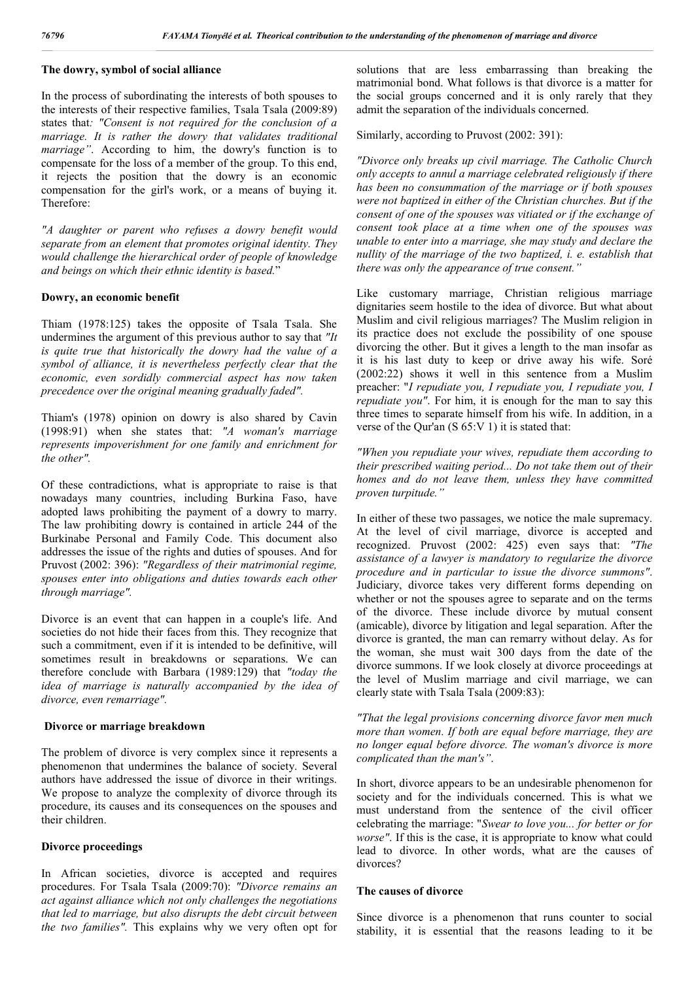# **The dowry, symbol of social alliance**

In the process of subordinating the interests of both spouses to the interests of their respective families, Tsala Tsala (2009:89) states that*: "Consent is not required for the conclusion of a marriage. It is rather the dowry that validates traditional marriage"*. According to him, the dowry's function is to compensate for the loss of a member of the group. To this end, it rejects the position that the dowry is an economic compensation for the girl's work, or a means of buying it. Therefore:

*"A daughter or parent who refuses a dowry benefit would separate from an element that promotes original identity. They would challenge the hierarchical order of people of knowledge and beings on which their ethnic identity is based.*"

#### **Dowry, an economic benefit**

Thiam (1978:125) takes the opposite of Tsala Tsala. She undermines the argument of this previous author to say that *"It is quite true that historically the dowry had the value of a symbol of alliance, it is nevertheless perfectly clear that the economic, even sordidly commercial aspect has now taken precedence over the original meaning gradually faded".*

Thiam's (1978) opinion on dowry is also shared by Cavin (1998:91) when she states that: *"A woman's marriage represents impoverishment for one family and enrichment for the other".*

Of these contradictions, what is appropriate to raise is that nowadays many countries, including Burkina Faso, have adopted laws prohibiting the payment of a dowry to marry. The law prohibiting dowry is contained in article 244 of the Burkinabe Personal and Family Code. This document also addresses the issue of the rights and duties of spouses. And for Pruvost (2002: 396): *"Regardless of their matrimonial regime, spouses enter into obligations and duties towards each other through marriage".*

Divorce is an event that can happen in a couple's life. And societies do not hide their faces from this. They recognize that such a commitment, even if it is intended to be definitive, will sometimes result in breakdowns or separations. We can therefore conclude with Barbara (1989:129) that *"today the idea of marriage is naturally accompanied by the idea of divorce, even remarriage".*

#### **Divorce or marriage breakdown**

The problem of divorce is very complex since it represents a phenomenon that undermines the balance of society. Several authors have addressed the issue of divorce in their writings. We propose to analyze the complexity of divorce through its procedure, its causes and its consequences on the spouses and their children.

### **Divorce proceedings**

In African societies, divorce is accepted and requires procedures. For Tsala Tsala (2009:70): *"Divorce remains an act against alliance which not only challenges the negotiations that led to marriage, but also disrupts the debt circuit between the two families".* This explains why we very often opt for solutions that are less embarrassing than breaking the matrimonial bond. What follows is that divorce is a matter for the social groups concerned and it is only rarely that they admit the separation of the individuals concerned.

Similarly, according to Pruvost (2002: 391):

*"Divorce only breaks up civil marriage. The Catholic Church only accepts to annul a marriage celebrated religiously if there has been no consummation of the marriage or if both spouses were not baptized in either of the Christian churches. But if the consent of one of the spouses was vitiated or if the exchange of consent took place at a time when one of the spouses was unable to enter into a marriage, she may study and declare the nullity of the marriage of the two baptized, i. e. establish that there was only the appearance of true consent."*

Like customary marriage, Christian religious marriage dignitaries seem hostile to the idea of divorce. But what about Muslim and civil religious marriages? The Muslim religion in its practice does not exclude the possibility of one spouse divorcing the other. But it gives a length to the man insofar as it is his last duty to keep or drive away his wife. Soré (2002:22) shows it well in this sentence from a Muslim preacher: "*I repudiate you, I repudiate you, I repudiate you, I repudiate you"*. For him, it is enough for the man to say this three times to separate himself from his wife. In addition, in a verse of the Qur'an (S 65:V 1) it is stated that:

*"When you repudiate your wives, repudiate them according to their prescribed waiting period... Do not take them out of their homes and do not leave them, unless they have committed proven turpitude."*

In either of these two passages, we notice the male supremacy. At the level of civil marriage, divorce is accepted and recognized. Pruvost (2002: 425) even says that: *"The assistance of a lawyer is mandatory to regularize the divorce procedure and in particular to issue the divorce summons"*. Judiciary, divorce takes very different forms depending on whether or not the spouses agree to separate and on the terms of the divorce. These include divorce by mutual consent (amicable), divorce by litigation and legal separation. After the divorce is granted, the man can remarry without delay. As for the woman, she must wait 300 days from the date of the divorce summons. If we look closely at divorce proceedings at the level of Muslim marriage and civil marriage, we can clearly state with Tsala Tsala (2009:83):

*"That the legal provisions concerning divorce favor men much more than women. If both are equal before marriage, they are no longer equal before divorce. The woman's divorce is more complicated than the man's"*.

In short, divorce appears to be an undesirable phenomenon for society and for the individuals concerned. This is what we must understand from the sentence of the civil officer celebrating the marriage: "*Swear to love you... for better or for worse"*. If this is the case, it is appropriate to know what could lead to divorce. In other words, what are the causes of divorces?

# **The causes of divorce**

Since divorce is a phenomenon that runs counter to social stability, it is essential that the reasons leading to it be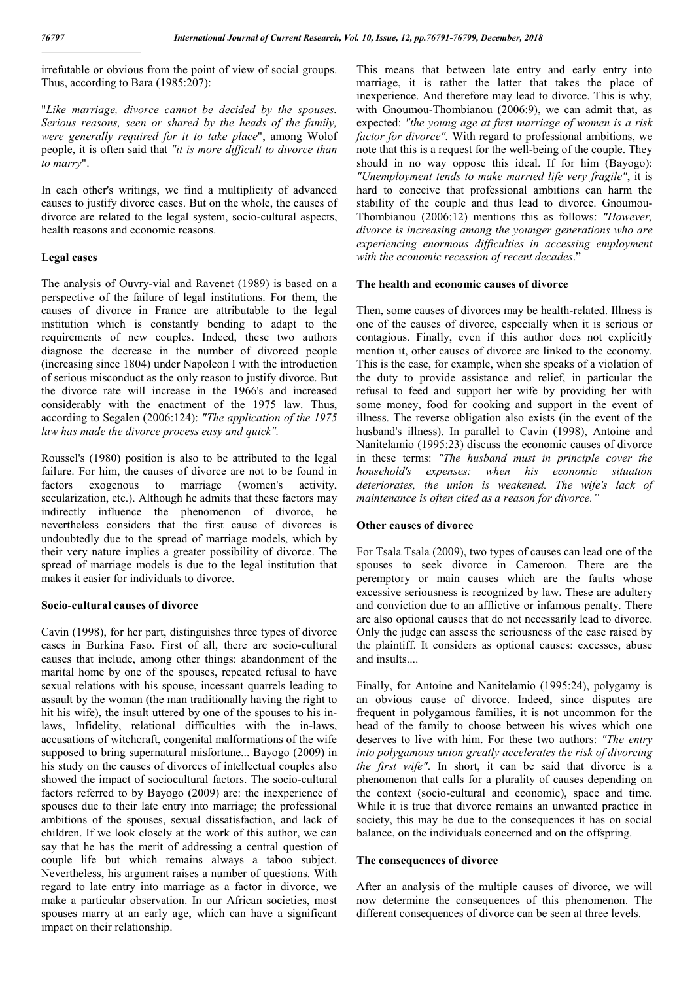irrefutable or obvious from the point of view of social groups. Thus, according to Bara (1985:207):

"*Like marriage, divorce cannot be decided by the spouses. Serious reasons, seen or shared by the heads of the family, were generally required for it to take place*", among Wolof people, it is often said that *"it is more difficult to divorce than to marry*".

In each other's writings, we find a multiplicity of advanced causes to justify divorce cases. But on the whole, the causes of divorce are related to the legal system, socio-cultural aspects, health reasons and economic reasons.

# **Legal cases**

The analysis of Ouvry-vial and Ravenet (1989) is based on a perspective of the failure of legal institutions. For them, the causes of divorce in France are attributable to the legal institution which is constantly bending to adapt to the requirements of new couples. Indeed, these two authors diagnose the decrease in the number of divorced people (increasing since 1804) under Napoleon I with the introduction of serious misconduct as the only reason to justify divorce. But the divorce rate will increase in the 1966's and increased considerably with the enactment of the 1975 law. Thus, according to Segalen (2006:124): *"The application of the 1975 law has made the divorce process easy and quick".*

Roussel's (1980) position is also to be attributed to the legal failure. For him, the causes of divorce are not to be found in factors exogenous to marriage (women's activity. factors exogenous to marriage (women's secularization, etc.). Although he admits that these factors may indirectly influence the phenomenon of divorce, he nevertheless considers that the first cause of divorces is undoubtedly due to the spread of marriage models, which by their very nature implies a greater possibility of divorce. The spread of marriage models is due to the legal institution that makes it easier for individuals to divorce.

# **Socio-cultural causes of divorce**

Cavin (1998), for her part, distinguishes three types of divorce cases in Burkina Faso. First of all, there are socio-cultural causes that include, among other things: abandonment of the marital home by one of the spouses, repeated refusal to have sexual relations with his spouse, incessant quarrels leading to assault by the woman (the man traditionally having the right to hit his wife), the insult uttered by one of the spouses to his inlaws, Infidelity, relational difficulties with the in-laws, accusations of witchcraft, congenital malformations of the wife supposed to bring supernatural misfortune... Bayogo (2009) in his study on the causes of divorces of intellectual couples also showed the impact of sociocultural factors. The socio-cultural factors referred to by Bayogo (2009) are: the inexperience of spouses due to their late entry into marriage; the professional ambitions of the spouses, sexual dissatisfaction, and lack of children. If we look closely at the work of this author, we can say that he has the merit of addressing a central question of couple life but which remains always a taboo subject. Nevertheless, his argument raises a number of questions. With regard to late entry into marriage as a factor in divorce, we make a particular observation. In our African societies, most spouses marry at an early age, which can have a significant impact on their relationship.

This means that between late entry and early entry into marriage, it is rather the latter that takes the place of inexperience. And therefore may lead to divorce. This is why, with Gnoumou-Thombianou (2006:9), we can admit that, as expected: *"the young age at first marriage of women is a risk factor for divorce".* With regard to professional ambitions, we note that this is a request for the well-being of the couple. They should in no way oppose this ideal. If for him (Bayogo): *"Unemployment tends to make married life very fragile"*, it is hard to conceive that professional ambitions can harm the stability of the couple and thus lead to divorce. Gnoumou-Thombianou (2006:12) mentions this as follows: *"However, divorce is increasing among the younger generations who are experiencing enormous difficulties in accessing employment with the economic recession of recent decades*."

# **The health and economic causes of divorce**

Then, some causes of divorces may be health-related. Illness is one of the causes of divorce, especially when it is serious or contagious. Finally, even if this author does not explicitly mention it, other causes of divorce are linked to the economy. This is the case, for example, when she speaks of a violation of the duty to provide assistance and relief, in particular the refusal to feed and support her wife by providing her with some money, food for cooking and support in the event of illness. The reverse obligation also exists (in the event of the husband's illness). In parallel to Cavin (1998), Antoine and Nanitelamio (1995:23) discuss the economic causes of divorce in these terms: *"The husband must in principle cover the household's expenses: when his economic situation deteriorates, the union is weakened. The wife's lack of maintenance is often cited as a reason for divorce."*

# **Other causes of divorce**

For Tsala Tsala (2009), two types of causes can lead one of the spouses to seek divorce in Cameroon. There are the peremptory or main causes which are the faults whose excessive seriousness is recognized by law. These are adultery and conviction due to an afflictive or infamous penalty. There are also optional causes that do not necessarily lead to divorce. Only the judge can assess the seriousness of the case raised by the plaintiff. It considers as optional causes: excesses, abuse and insults....

Finally, for Antoine and Nanitelamio (1995:24), polygamy is an obvious cause of divorce. Indeed, since disputes are frequent in polygamous families, it is not uncommon for the head of the family to choose between his wives which one deserves to live with him. For these two authors: *"The entry into polygamous union greatly accelerates the risk of divorcing the first wife"*. In short, it can be said that divorce is a phenomenon that calls for a plurality of causes depending on the context (socio-cultural and economic), space and time. While it is true that divorce remains an unwanted practice in society, this may be due to the consequences it has on social balance, on the individuals concerned and on the offspring.

# **The consequences of divorce**

After an analysis of the multiple causes of divorce, we will now determine the consequences of this phenomenon. The different consequences of divorce can be seen at three levels.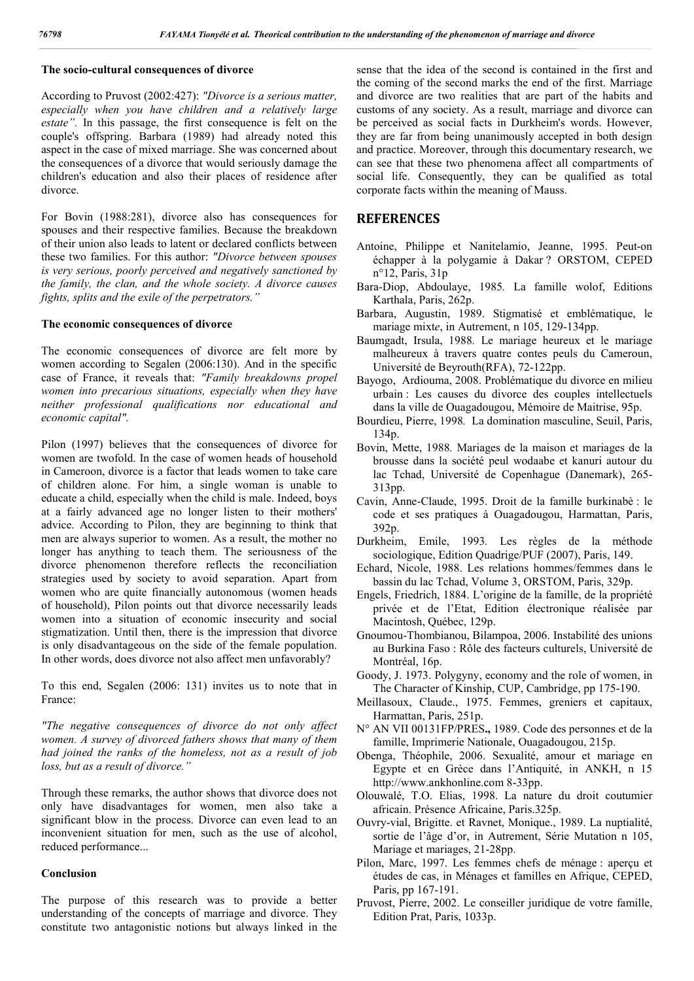# **The socio-cultural consequences of divorce**

According to Pruvost (2002:427): *"Divorce is a serious matter, especially when you have children and a relatively large estate".* In this passage, the first consequence is felt on the couple's offspring. Barbara (1989) had already noted this aspect in the case of mixed marriage. She was concerned about the consequences of a divorce that would seriously damage the children's education and also their places of residence after divorce.

For Bovin (1988:281), divorce also has consequences for spouses and their respective families. Because the breakdown of their union also leads to latent or declared conflicts between these two families. For this author: *"Divorce between spouses is very serious, poorly perceived and negatively sanctioned by the family, the clan, and the whole society. A divorce causes fights, splits and the exile of the perpetrators."*

# **The economic consequences of divorce**

The economic consequences of divorce are felt more by women according to Segalen (2006:130). And in the specific case of France, it reveals that: *"Family breakdowns propel women into precarious situations, especially when they have neither professional qualifications nor educational and economic capital".*

Pilon (1997) believes that the consequences of divorce for women are twofold. In the case of women heads of household in Cameroon, divorce is a factor that leads women to take care of children alone. For him, a single woman is unable to educate a child, especially when the child is male. Indeed, boys at a fairly advanced age no longer listen to their mothers' advice. According to Pilon, they are beginning to think that men are always superior to women. As a result, the mother no longer has anything to teach them. The seriousness of the divorce phenomenon therefore reflects the reconciliation strategies used by society to avoid separation. Apart from women who are quite financially autonomous (women heads of household), Pilon points out that divorce necessarily leads women into a situation of economic insecurity and social stigmatization. Until then, there is the impression that divorce is only disadvantageous on the side of the female population. In other words, does divorce not also affect men unfavorably?

To this end, Segalen (2006: 131) invites us to note that in France:

*"The negative consequences of divorce do not only affect women. A survey of divorced fathers shows that many of them had joined the ranks of the homeless, not as a result of job loss, but as a result of divorce."*

Through these remarks, the author shows that divorce does not only have disadvantages for women, men also take a significant blow in the process. Divorce can even lead to an inconvenient situation for men, such as the use of alcohol, reduced performance...

# **Conclusion**

The purpose of this research was to provide a better understanding of the concepts of marriage and divorce. They constitute two antagonistic notions but always linked in the

sense that the idea of the second is contained in the first and the coming of the second marks the end of the first. Marriage and divorce are two realities that are part of the habits and customs of any society. As a result, marriage and divorce can be perceived as social facts in Durkheim's words. However, they are far from being unanimously accepted in both design and practice. Moreover, through this documentary research, we can see that these two phenomena affect all compartments of social life. Consequently, they can be qualified as total corporate facts within the meaning of Mauss.

#### **REFERENCES**

- Antoine, Philippe et Nanitelamio, Jeanne, 1995. Peut-on échapper à la polygamie à Dakar ? ORSTOM, CEPED n°12, Paris, 31p
- Bara-Diop, Abdoulaye, 1985*.* La famille wolof, Editions Karthala, Paris, 262p.
- Barbara, Augustin, 1989. Stigmatisé et emblématique, le mariage mixt*e*, in Autrement, n 105, 129-134pp.
- Baumgadt, Irsula, 1988*.* Le mariage heureux et le mariage malheureux à travers quatre contes peuls du Cameroun, Université de Beyrouth(RFA), 72-122pp.
- Bayogo, Ardiouma, 2008. Problématique du divorce en milieu urbain : Les causes du divorce des couples intellectuels dans la ville de Ouagadougou, Mémoire de Maitrise, 95p.
- Bourdieu, Pierre, 1998*.* La domination masculine, Seuil, Paris, 134p.
- Bovin, Mette, 1988*.* Mariages de la maison et mariages de la brousse dans la société peul wodaabe et kanuri autour du lac Tchad, Université de Copenhague (Danemark), 265- 313pp.
- Cavin, Anne-Claude, 1995. Droit de la famille burkinabè : le code et ses pratiques à Ouagadougou, Harmattan, Paris, 392p.
- Durkheim, Emile, 1993*.* Les règles de la méthode sociologique, Edition Quadrige/PUF (2007), Paris, 149.
- Echard, Nicole, 1988. Les relations hommes/femmes dans le bassin du lac Tchad, Volume 3, ORSTOM, Paris, 329p.
- Engels, Friedrich, 1884. L'origine de la famille, de la propriété privée et de l'Etat, Edition électronique réalisée par Macintosh, Québec, 129p.
- Gnoumou-Thombianou, Bilampoa, 2006. Instabilité des unions au Burkina Faso : Rôle des facteurs culturels, Université de Montréal, 16p.
- Goody, J. 1973. Polygyny, economy and the role of women, in The Character of Kinship, CUP, Cambridge, pp 175-190.
- Meillasoux, Claude., 1975. Femmes, greniers et capitaux, Harmattan, Paris, 251p.
- N° AN VII 00131FP/PRES**.,** 1989. Code des personnes et de la famille, Imprimerie Nationale, Ouagadougou, 215p.
- Obenga, Théophile, 2006. Sexualité, amour et mariage en Egypte et en Grèce dans l'Antiquité, in ANKH, n 15 http://www.ankhonline.com 8-33pp.
- Olouwalé, T.O. Elias, 1998. La nature du droit coutumier africain. Présence Africaine, Paris.325p.
- Ouvry-vial, Brigitte. et Ravnet, Monique., 1989. La nuptialité, sortie de l'âge d'or, in Autrement, Série Mutation n 105, Mariage et mariages, 21-28pp.
- Pilon, Marc, 1997. Les femmes chefs de ménage : aperçu et études de cas, in Ménages et familles en Afrique, CEPED, Paris, pp 167-191.
- Pruvost, Pierre, 2002. Le conseiller juridique de votre famille, Edition Prat, Paris, 1033p.